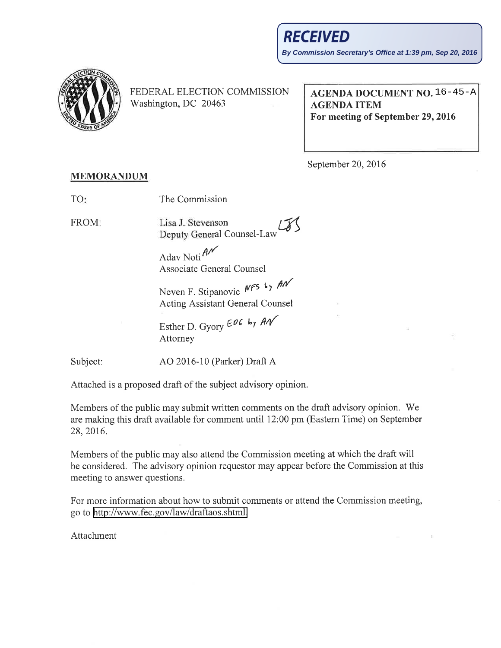

FEDERAL ELECTION COMMISSION Washington, DC 20463

AGENDA DOCUMENT NO. 16-45-AAGENDA ITEM For meeting of September 29,2016

September 20,2016

## MEMORANDUM

| TO: | The Commission |
|-----|----------------|
|-----|----------------|

FROM

Lisa J. Stevenson Deputy General Counsel-Law

Adav Noti $\mathcal{A}$ Associate General Counsel

Neven F. Stipanovic  $NFS$  Ly  $AN$ Acting Assistant General Counsel

Esther D. Gyory  $E^{06}$  by  $AN$ Attorney

Subject: AO 2016-10 (Parker) Draft A

Attached is a proposed draft of the subject advisory opinion.

Members of the public may submit written comments on the draft advisory opinion. We are making this draft available for comment until 12:00 pm (Eastern Time) on September 28,2016.

Members of the public may also attend the Commission meeting at which the draft will be considered. The advisory opinion requestor may appear before the Commission at this meeting to answer questions.

For more information about how to submit comments or attend the Commission meeting, go to http://www.fec.gov/law/draftaos.shtml.

Attachment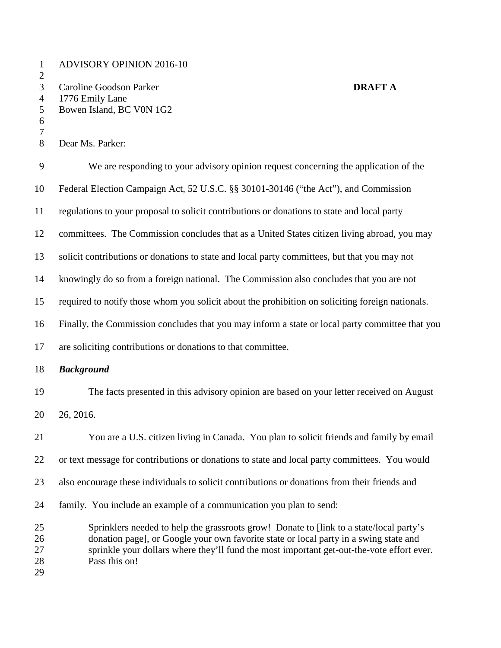1 ADVISORY OPINION 2016-10 2 3 Caroline Goodson Parker **DRAFT A** 4 1776 Emily Lane 5 Bowen Island, BC V0N 1G2 6 7 8 Dear Ms. Parker: 9 We are responding to your advisory opinion request concerning the application of the 10 Federal Election Campaign Act, 52 U.S.C. §§ 30101-30146 ("the Act"), and Commission 11 regulations to your proposal to solicit contributions or donations to state and local party 12 committees. The Commission concludes that as a United States citizen living abroad, you may 13 solicit contributions or donations to state and local party committees, but that you may not 14 knowingly do so from a foreign national. The Commission also concludes that you are not 15 required to notify those whom you solicit about the prohibition on soliciting foreign nationals. 16 Finally, the Commission concludes that you may inform a state or local party committee that you 17 are soliciting contributions or donations to that committee. 18 *Background*  19 The facts presented in this advisory opinion are based on your letter received on August 20 26, 2016. 21 You are a U.S. citizen living in Canada. You plan to solicit friends and family by email 22 or text message for contributions or donations to state and local party committees. You would 23 also encourage these individuals to solicit contributions or donations from their friends and 24 family. You include an example of a communication you plan to send: 25 Sprinklers needed to help the grassroots grow! Donate to [link to a state/local party's 26 donation page], or Google your own favorite state or local party in a swing state and 27 sprinkle your dollars where they'll fund the most important get-out-the-vote effort ever. 28 Pass this on! 29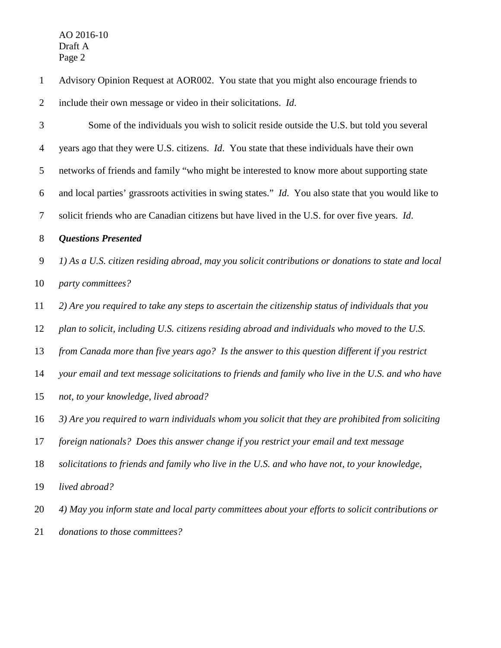| $\mathbf{1}$   | Advisory Opinion Request at AOR002. You state that you might also encourage friends to               |
|----------------|------------------------------------------------------------------------------------------------------|
| $\overline{2}$ | include their own message or video in their solicitations. Id.                                       |
| 3              | Some of the individuals you wish to solicit reside outside the U.S. but told you several             |
| $\overline{4}$ | years ago that they were U.S. citizens. Id. You state that these individuals have their own          |
| 5              | networks of friends and family "who might be interested to know more about supporting state          |
| 6              | and local parties' grassroots activities in swing states." Id. You also state that you would like to |
| 7              | solicit friends who are Canadian citizens but have lived in the U.S. for over five years. Id.        |
| 8              | <b>Questions Presented</b>                                                                           |
| 9              | 1) As a U.S. citizen residing abroad, may you solicit contributions or donations to state and local  |
| 10             | party committees?                                                                                    |
| 11             | 2) Are you required to take any steps to ascertain the citizenship status of individuals that you    |
| 12             | plan to solicit, including U.S. citizens residing abroad and individuals who moved to the U.S.       |
| 13             | from Canada more than five years ago? Is the answer to this question different if you restrict       |
| 14             | your email and text message solicitations to friends and family who live in the U.S. and who have    |
| 15             | not, to your knowledge, lived abroad?                                                                |
| 16             | 3) Are you required to warn individuals whom you solicit that they are prohibited from soliciting    |
| 17             | foreign nationals? Does this answer change if you restrict your email and text message               |
| 18             | solicitations to friends and family who live in the U.S. and who have not, to your knowledge,        |
| 19             | lived abroad?                                                                                        |
| 20             | 4) May you inform state and local party committees about your efforts to solicit contributions or    |
|                |                                                                                                      |

21 *donations to those committees?*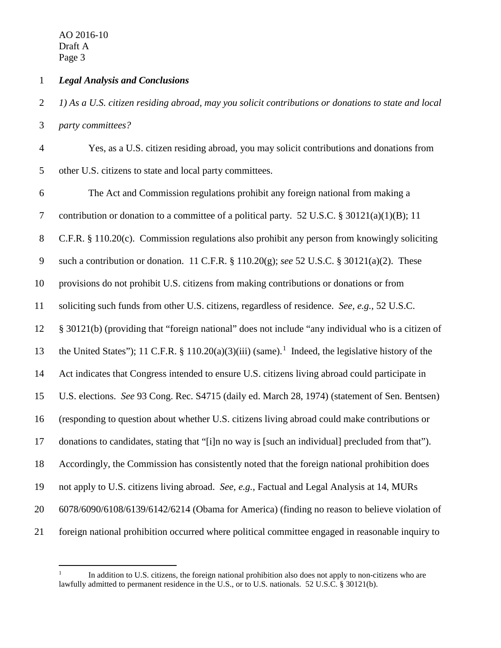$\overline{a}$ 

## 1 *Legal Analysis and Conclusions*

2 *1) As a U.S. citizen residing abroad, may you solicit contributions or donations to state and local*  3 *party committees?*

4 Yes, as a U.S. citizen residing abroad, you may solicit contributions and donations from 5 other U.S. citizens to state and local party committees.

6 The Act and Commission regulations prohibit any foreign national from making a 7 contribution or donation to a committee of a political party. 52 U.S.C. § 30121(a)(1)(B); 11 8 C.F.R. § 110.20(c). Commission regulations also prohibit any person from knowingly soliciting 9 such a contribution or donation. 11 C.F.R. § 110.20(g); *see* 52 U.S.C. § 30121(a)(2). These 10 provisions do not prohibit U.S. citizens from making contributions or donations or from 11 soliciting such funds from other U.S. citizens, regardless of residence. *See, e.g.*, 52 U.S.C. 12 § 30121(b) (providing that "foreign national" does not include "any individual who is a citizen of 13 the United States"); 11 C.F.R. § 110.20(a)(3)(iii) (same).<sup>1</sup> Indeed, the legislative history of the 14 Act indicates that Congress intended to ensure U.S. citizens living abroad could participate in 15 U.S. elections. *See* 93 Cong. Rec. S4715 (daily ed. March 28, 1974) (statement of Sen. Bentsen) 16 (responding to question about whether U.S. citizens living abroad could make contributions or 17 donations to candidates, stating that "[i]n no way is [such an individual] precluded from that"). 18 Accordingly, the Commission has consistently noted that the foreign national prohibition does 19 not apply to U.S. citizens living abroad. *See, e.g.*, Factual and Legal Analysis at 14, MURs 20 6078/6090/6108/6139/6142/6214 (Obama for America) (finding no reason to believe violation of 21 foreign national prohibition occurred where political committee engaged in reasonable inquiry to

<sup>1</sup> In addition to U.S. citizens, the foreign national prohibition also does not apply to non-citizens who are lawfully admitted to permanent residence in the U.S., or to U.S. nationals. 52 U.S.C. § 30121(b).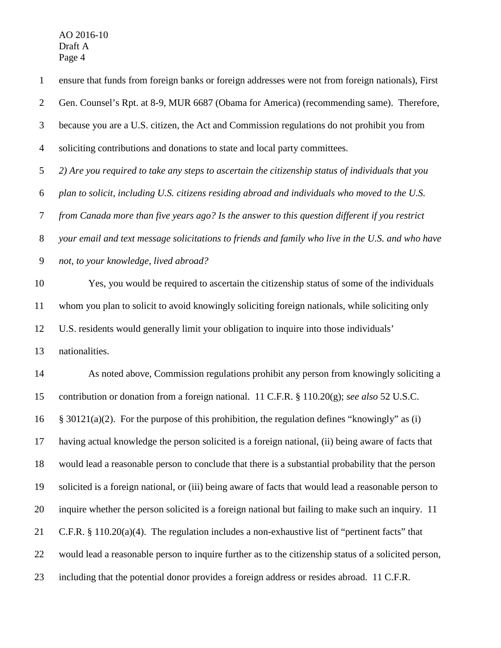1 ensure that funds from foreign banks or foreign addresses were not from foreign nationals), First 2 Gen. Counsel's Rpt. at 8-9, MUR 6687 (Obama for America) (recommending same). Therefore, 3 because you are a U.S. citizen, the Act and Commission regulations do not prohibit you from 4 soliciting contributions and donations to state and local party committees. 5 *2) Are you required to take any steps to ascertain the citizenship status of individuals that you*  6 *plan to solicit, including U.S. citizens residing abroad and individuals who moved to the U.S.*  7 *from Canada more than five years ago? Is the answer to this question different if you restrict*  8 *your email and text message solicitations to friends and family who live in the U.S. and who have*  9 *not, to your knowledge, lived abroad?* 10 Yes, you would be required to ascertain the citizenship status of some of the individuals 11 whom you plan to solicit to avoid knowingly soliciting foreign nationals, while soliciting only 12 U.S. residents would generally limit your obligation to inquire into those individuals' 13 nationalities. 14 As noted above, Commission regulations prohibit any person from knowingly soliciting a 15 contribution or donation from a foreign national. 11 C.F.R. § 110.20(g); *see also* 52 U.S.C. 16  $\frac{\sqrt{2}}{30121(a)(2)}$ . For the purpose of this prohibition, the regulation defines "knowingly" as (i) 17 having actual knowledge the person solicited is a foreign national, (ii) being aware of facts that 18 would lead a reasonable person to conclude that there is a substantial probability that the person 19 solicited is a foreign national, or (iii) being aware of facts that would lead a reasonable person to 20 inquire whether the person solicited is a foreign national but failing to make such an inquiry. 11

- 21 C.F.R. § 110.20(a)(4). The regulation includes a non-exhaustive list of "pertinent facts" that
- 22 would lead a reasonable person to inquire further as to the citizenship status of a solicited person,
- 23 including that the potential donor provides a foreign address or resides abroad. 11 C.F.R.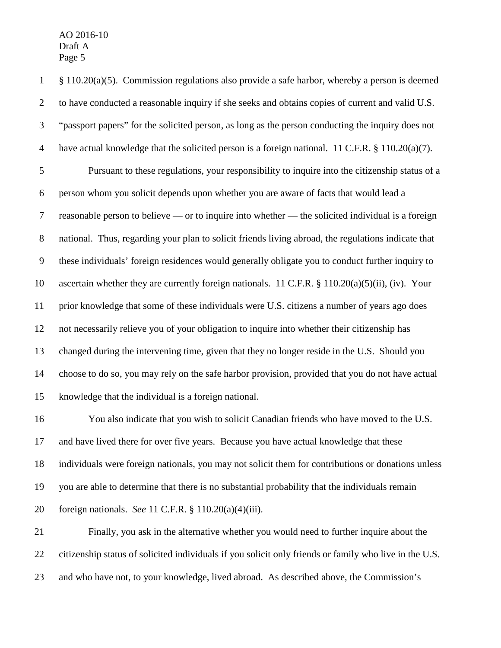1 § 110.20(a)(5). Commission regulations also provide a safe harbor, whereby a person is deemed 2 to have conducted a reasonable inquiry if she seeks and obtains copies of current and valid U.S. 3 "passport papers" for the solicited person, as long as the person conducting the inquiry does not 4 have actual knowledge that the solicited person is a foreign national. 11 C.F.R. § 110.20(a)(7). 5 Pursuant to these regulations, your responsibility to inquire into the citizenship status of a 6 person whom you solicit depends upon whether you are aware of facts that would lead a 7 reasonable person to believe — or to inquire into whether — the solicited individual is a foreign 8 national. Thus, regarding your plan to solicit friends living abroad, the regulations indicate that 9 these individuals' foreign residences would generally obligate you to conduct further inquiry to 10 ascertain whether they are currently foreign nationals. 11 C.F.R. § 110.20(a)(5)(ii), (iv). Your 11 prior knowledge that some of these individuals were U.S. citizens a number of years ago does 12 not necessarily relieve you of your obligation to inquire into whether their citizenship has 13 changed during the intervening time, given that they no longer reside in the U.S. Should you 14 choose to do so, you may rely on the safe harbor provision, provided that you do not have actual 15 knowledge that the individual is a foreign national. 16 You also indicate that you wish to solicit Canadian friends who have moved to the U.S.

17 and have lived there for over five years. Because you have actual knowledge that these 18 individuals were foreign nationals, you may not solicit them for contributions or donations unless 19 you are able to determine that there is no substantial probability that the individuals remain 20 foreign nationals. *See* 11 C.F.R. § 110.20(a)(4)(iii).

21 Finally, you ask in the alternative whether you would need to further inquire about the 22 citizenship status of solicited individuals if you solicit only friends or family who live in the U.S. 23 and who have not, to your knowledge, lived abroad. As described above, the Commission's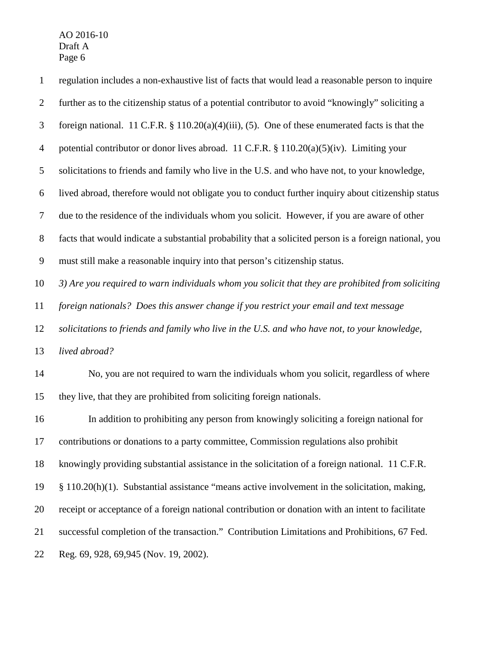1 regulation includes a non-exhaustive list of facts that would lead a reasonable person to inquire 2 further as to the citizenship status of a potential contributor to avoid "knowingly" soliciting a 3 foreign national. 11 C.F.R. § 110.20(a)(4)(iii), (5). One of these enumerated facts is that the 4 potential contributor or donor lives abroad. 11 C.F.R. § 110.20(a)(5)(iv). Limiting your 5 solicitations to friends and family who live in the U.S. and who have not, to your knowledge, 6 lived abroad, therefore would not obligate you to conduct further inquiry about citizenship status 7 due to the residence of the individuals whom you solicit. However, if you are aware of other 8 facts that would indicate a substantial probability that a solicited person is a foreign national, you 9 must still make a reasonable inquiry into that person's citizenship status. 10 *3) Are you required to warn individuals whom you solicit that they are prohibited from soliciting*  11 *foreign nationals? Does this answer change if you restrict your email and text message*  12 *solicitations to friends and family who live in the U.S. and who have not, to your knowledge,*  13 *lived abroad?*  14 No, you are not required to warn the individuals whom you solicit, regardless of where 15 they live, that they are prohibited from soliciting foreign nationals. 16 In addition to prohibiting any person from knowingly soliciting a foreign national for 17 contributions or donations to a party committee, Commission regulations also prohibit 18 knowingly providing substantial assistance in the solicitation of a foreign national. 11 C.F.R. 19 § 110.20(h)(1). Substantial assistance "means active involvement in the solicitation, making, 20 receipt or acceptance of a foreign national contribution or donation with an intent to facilitate 21 successful completion of the transaction." Contribution Limitations and Prohibitions, 67 Fed. 22 Reg. 69, 928, 69,945 (Nov. 19, 2002).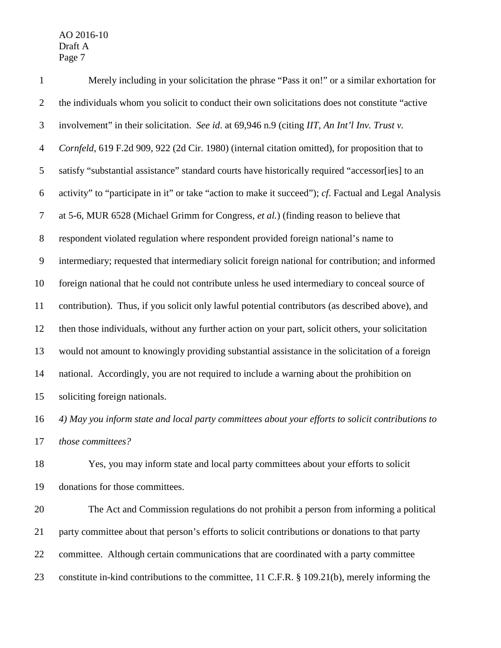1 Merely including in your solicitation the phrase "Pass it on!" or a similar exhortation for 2 the individuals whom you solicit to conduct their own solicitations does not constitute "active 3 involvement" in their solicitation. *See id*. at 69,946 n.9 (citing *IIT, An Int'l Inv. Trust v.*  4 *Cornfeld*, 619 F.2d 909, 922 (2d Cir. 1980) (internal citation omitted), for proposition that to 5 satisfy "substantial assistance" standard courts have historically required "accessor[ies] to an 6 activity" to "participate in it" or take "action to make it succeed"); *cf*. Factual and Legal Analysis 7 at 5-6, MUR 6528 (Michael Grimm for Congress, *et al.*) (finding reason to believe that 8 respondent violated regulation where respondent provided foreign national's name to 9 intermediary; requested that intermediary solicit foreign national for contribution; and informed 10 foreign national that he could not contribute unless he used intermediary to conceal source of 11 contribution). Thus, if you solicit only lawful potential contributors (as described above), and 12 then those individuals, without any further action on your part, solicit others, your solicitation 13 would not amount to knowingly providing substantial assistance in the solicitation of a foreign 14 national. Accordingly, you are not required to include a warning about the prohibition on 15 soliciting foreign nationals. 16 *4) May you inform state and local party committees about your efforts to solicit contributions to*  17 *those committees?*

18 Yes, you may inform state and local party committees about your efforts to solicit

19 donations for those committees.

20 The Act and Commission regulations do not prohibit a person from informing a political 21 party committee about that person's efforts to solicit contributions or donations to that party 22 committee. Although certain communications that are coordinated with a party committee 23 constitute in-kind contributions to the committee, 11 C.F.R. § 109.21(b), merely informing the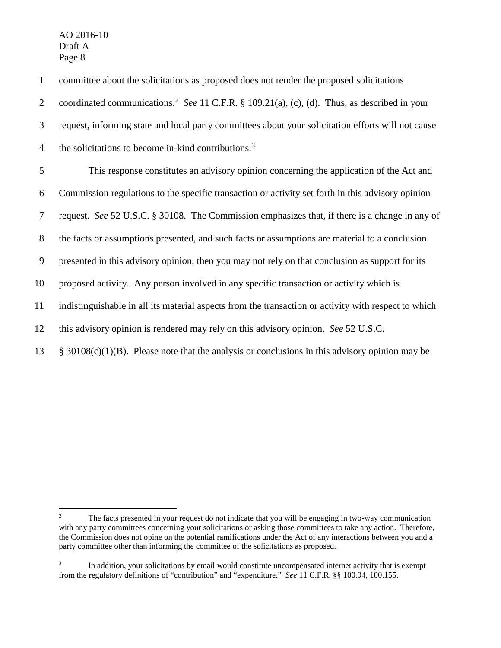$\overline{a}$ 

1 committee about the solicitations as proposed does not render the proposed solicitations coordinated communications.<sup>2</sup> 2 *See* 11 C.F.R. § 109.21(a), (c), (d). Thus, as described in your 3 request, informing state and local party committees about your solicitation efforts will not cause 4 the solicitations to become in-kind contributions.<sup>3</sup> 5 This response constitutes an advisory opinion concerning the application of the Act and 6 Commission regulations to the specific transaction or activity set forth in this advisory opinion 7 request. *See* 52 U.S.C. § 30108. The Commission emphasizes that, if there is a change in any of 8 the facts or assumptions presented, and such facts or assumptions are material to a conclusion 9 presented in this advisory opinion, then you may not rely on that conclusion as support for its 10 proposed activity. Any person involved in any specific transaction or activity which is 11 indistinguishable in all its material aspects from the transaction or activity with respect to which 12 this advisory opinion is rendered may rely on this advisory opinion. *See* 52 U.S.C. 13 § 30108(c)(1)(B). Please note that the analysis or conclusions in this advisory opinion may be

<sup>2</sup> The facts presented in your request do not indicate that you will be engaging in two-way communication with any party committees concerning your solicitations or asking those committees to take any action. Therefore, the Commission does not opine on the potential ramifications under the Act of any interactions between you and a party committee other than informing the committee of the solicitations as proposed.

<sup>3</sup> In addition, your solicitations by email would constitute uncompensated internet activity that is exempt from the regulatory definitions of "contribution" and "expenditure." *See* 11 C.F.R. §§ 100.94, 100.155.